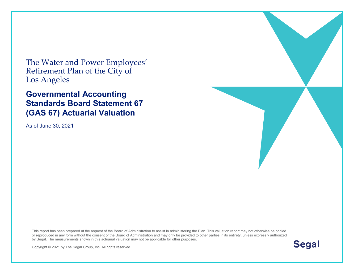The Water and Power Employees' Retirement Plan of the City of Los Angeles

#### **Governmental Accounting Standards Board Statement 67 (GAS 67) Actuarial Valuation**

As of June 30, 2021

This report has been prepared at the request of the Board of Administration to assist in administering the Plan. This valuation report may not otherwise be copied or reproduced in any form without the consent of the Board of Administration and may only be provided to other parties in its entirety, unless expressly authorized by Segal. The measurements shown in this actuarial valuation may not be applicable for other purposes.



Copyright © 2021 by The Segal Group, Inc. All rights reserved.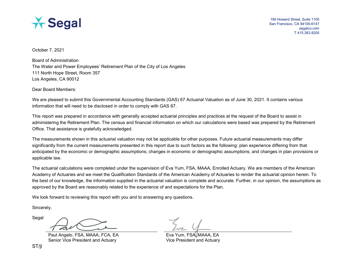

October 7, 2021

Board of Administration The Water and Power Employees' Retirement Plan of the City of Los Angeles 111 North Hope Street, Room 357 Los Angeles, CA 90012

Dear Board Members:

We are pleased to submit this Governmental Accounting Standards (GAS) 67 Actuarial Valuation as of June 30, 2021. It contains various information that will need to be disclosed in order to comply with GAS 67.

This report was prepared in accordance with generally accepted actuarial principles and practices at the request of the Board to assist in administering the Retirement Plan. The census and financial information on which our calculations were based was prepared by the Retirement Office. That assistance is gratefully acknowledged.

The measurements shown in this actuarial valuation may not be applicable for other purposes. Future actuarial measurements may differ significantly from the current measurements presented in this report due to such factors as the following: plan experience differing from that anticipated by the economic or demographic assumptions; changes in economic or demographic assumptions; and changes in plan provisions or applicable law.

The actuarial calculations were completed under the supervision of Eva Yum, FSA, MAAA, Enrolled Actuary. We are members of the American Academy of Actuaries and we meet the Qualification Standards of the American Academy of Actuaries to render the actuarial opinion herein. To the best of our knowledge, the information supplied in the actuarial valuation is complete and accurate. Further, in our opinion, the assumptions as approved by the Board are reasonably related to the experience of and expectations for the Plan.

We look forward to reviewing this report with you and to answering any questions.

Sincerely,

Segal

Paul Angelo, FSA, MAAA, FCA, EA Example For Form, FSA, MAAA, EA Senior Vice President and Actuary **Vice President and Actuary** Vice President and Actuary

ST/jl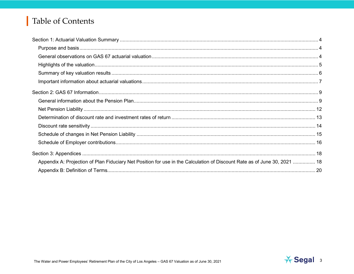## Table of Contents

| Appendix A: Projection of Plan Fiduciary Net Position for use in the Calculation of Discount Rate as of June 30, 2021  18 |  |
|---------------------------------------------------------------------------------------------------------------------------|--|
|                                                                                                                           |  |

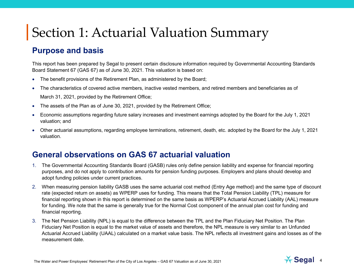#### **Purpose and basis**

This report has been prepared by Segal to present certain disclosure information required by Governmental Accounting Standards Board Statement 67 (GAS 67) as of June 30, 2021. This valuation is based on:

- The benefit provisions of the Retirement Plan, as administered by the Board;
- The characteristics of covered active members, inactive vested members, and retired members and beneficiaries as of

March 31, 2021, provided by the Retirement Office;

- The assets of the Plan as of June 30, 2021, provided by the Retirement Office;
- Economic assumptions regarding future salary increases and investment earnings adopted by the Board for the July 1, 2021 valuation; and
- Other actuarial assumptions, regarding employee terminations, retirement, death, etc. adopted by the Board for the July 1, 2021 valuation.

#### **General observations on GAS 67 actuarial valuation**

- 1. The Governmental Accounting Standards Board (GASB) rules only define pension liability and expense for financial reporting purposes, and do not apply to contribution amounts for pension funding purposes. Employers and plans should develop and adopt funding policies under current practices.
- 2. When measuring pension liability GASB uses the same actuarial cost method (Entry Age method) and the same type of discount rate (expected return on assets) as WPERP uses for funding. This means that the Total Pension Liability (TPL) measure for financial reporting shown in this report is determined on the same basis as WPERP's Actuarial Accrued Liability (AAL) measure for funding. We note that the same is generally true for the Normal Cost component of the annual plan cost for funding and financial reporting.
- 3. The Net Pension Liability (NPL) is equal to the difference between the TPL and the Plan Fiduciary Net Position. The Plan Fiduciary Net Position is equal to the market value of assets and therefore, the NPL measure is very similar to an Unfunded Actuarial Accrued Liability (UAAL) calculated on a market value basis. The NPL reflects all investment gains and losses as of the measurement date.

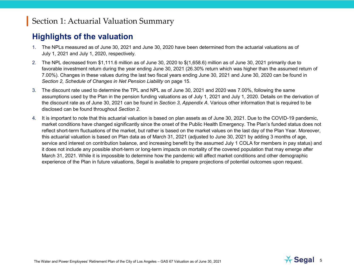#### **Highlights of the valuation**

- 1. The NPLs measured as of June 30, 2021 and June 30, 2020 have been determined from the actuarial valuations as of July 1, 2021 and July 1, 2020, respectively.
- 2. The NPL decreased from \$1,111.6 million as of June 30, 2020 to \$(1,658.6) million as of June 30, 2021 primarily due to favorable investment return during the year ending June 30, 2021 (26.30% return which was higher than the assumed return of 7.00%). Changes in these values during the last two fiscal years ending June 30, 2021 and June 30, 2020 can be found in *Section 2, Schedule of Changes in Net Pension Liability* on page 15.
- 3. The discount rate used to determine the TPL and NPL as of June 30, 2021 and 2020 was 7.00%, following the same assumptions used by the Plan in the pension funding valuations as of July 1, 2021 and July 1, 2020. Details on the derivation of the discount rate as of June 30, 2021 can be found in *Section 3, Appendix A*. Various other information that is required to be disclosed can be found throughout *Section 2*.
- 4. It is important to note that this actuarial valuation is based on plan assets as of June 30, 2021. Due to the COVID-19 pandemic, market conditions have changed significantly since the onset of the Public Health Emergency. The Plan's funded status does not reflect short-term fluctuations of the market, but rather is based on the market values on the last day of the Plan Year. Moreover, this actuarial valuation is based on Plan data as of March 31, 2021 (adjusted to June 30, 2021 by adding 3 months of age, service and interest on contribution balance, and increasing benefit by the assumed July 1 COLA for members in pay status) and it does not include any possible short-term or long-term impacts on mortality of the covered population that may emerge after March 31, 2021. While it is impossible to determine how the pandemic will affect market conditions and other demographic experience of the Plan in future valuations, Segal is available to prepare projections of potential outcomes upon request.

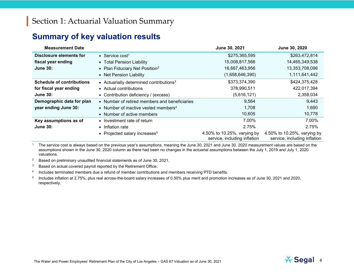#### **Summary of key valuation results**

| <b>Measurement Date</b>          |                                                  | June 30, 2021                                               | June 30, 2020                                               |
|----------------------------------|--------------------------------------------------|-------------------------------------------------------------|-------------------------------------------------------------|
| Disclosure elements for          | • Service cost <sup>1</sup>                      | \$275,365,595                                               | \$263,472,814                                               |
| fiscal year ending               | • Total Pension Liability                        | 15,008,817,566                                              | 14,465,349,538                                              |
| <b>June 30:</b>                  | • Plan Fiduciary Net Position <sup>2</sup>       | 16,667,463,956                                              | 13,353,708,096                                              |
|                                  | • Net Pension Liability                          | (1,658,646,390)                                             | 1,111,641,442                                               |
| <b>Schedule of contributions</b> | • Actuarially determined contributions $3$       | \$373,374,390                                               | \$424,375,428                                               |
| for fiscal year ending           | • Actual contributions                           | 378,990,511                                                 | 422,017,394                                                 |
| <b>June 30:</b>                  | • Contribution deficiency / (excess)             | (5,616,121)                                                 | 2,358,034                                                   |
| Demographic data for plan        | • Number of retired members and beneficiaries    | 9,564                                                       | 9,443                                                       |
| year ending June 30:             | • Number of inactive vested members <sup>4</sup> | 1,708                                                       | 1,690                                                       |
|                                  | • Number of active members                       | 10,605                                                      | 10,778                                                      |
| Key assumptions as of            | • Investment rate of return                      | 7.00%                                                       | 7.00%                                                       |
| <b>June 30:</b>                  | • Inflation rate                                 | 2.75%                                                       | 2.75%                                                       |
|                                  | • Projected salary increases <sup>5</sup>        | 4.50% to 10.25%, varying by<br>service, including inflation | 4.50% to 10.25%, varying by<br>service, including inflation |

<sup>1</sup> The service cost is always based on the previous year's assumptions, meaning the June 30, 2021 and June 30, 2020 measurement values are based on the assumptions shown in the June 30, 2020 column as there had been no changes in the actuarial assumptions between the July 1, 2019 and July 1, 2020 valuations.

<sup>2</sup> Based on preliminary unaudited financial statements as of June 30, 2021.

 $3$  Based on actual covered payroll reported by the Retirement Office.

<sup>4</sup> Includes terminated members due a refund of member contributions and members receiving PTD benefits.

<sup>5</sup> Includes inflation at 2.75%, plus real across-the-board salary increases of 0.50% plus merit and promotion increases as of June 30, 2021 and 2020, respectively.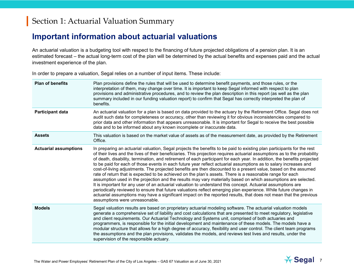#### **Important information about actuarial valuations**

An actuarial valuation is a budgeting tool with respect to the financing of future projected obligations of a pension plan. It is an estimated forecast – the actual long-term cost of the plan will be determined by the actual benefits and expenses paid and the actual investment experience of the plan.

**Plan of benefits** Plan provisions define the rules that will be used to determine benefit payments, and those rules, or the interpretation of them, may change over time. It is important to keep Segal informed with respect to plan provisions and administrative procedures, and to review the plan description in this report (as well as the plan summary included in our funding valuation report) to confirm that Segal has correctly interpreted the plan of benefits. **Participant data** An actuarial valuation for a plan is based on data provided to the actuary by the Retirement Office. Segal does not audit such data for completeness or accuracy, other than reviewing it for obvious inconsistencies compared to prior data and other information that appears unreasonable. It is important for Segal to receive the best possible data and to be informed about any known incomplete or inaccurate data. **Assets** This valuation is based on the market value of assets as of the measurement date, as provided by the Retirement Office. **Actuarial assumptions** In preparing an actuarial valuation, Segal projects the benefits to be paid to existing plan participants for the rest of their lives and the lives of their beneficiaries. This projection requires actuarial assumptions as to the probability of death, disability, termination, and retirement of each participant for each year. In addition, the benefits projected to be paid for each of those events in each future year reflect actuarial assumptions as to salary increases and cost-of-living adjustments. The projected benefits are then discounted to a present value, based on the assumed rate of return that is expected to be achieved on the plan's assets. There is a reasonable range for each assumption used in the projection and the results may vary materially based on which assumptions are selected. It is important for any user of an actuarial valuation to understand this concept. Actuarial assumptions are periodically reviewed to ensure that future valuations reflect emerging plan experience. While future changes in actuarial assumptions may have a significant impact on the reported results, that does not mean that the previous assumptions were unreasonable. **Models** Segal valuation results are based on proprietary actuarial modeling software. The actuarial valuation models generate a comprehensive set of liability and cost calculations that are presented to meet regulatory, legislative and client requirements. Our Actuarial Technology and Systems unit, comprised of both actuaries and programmers, is responsible for the initial development and maintenance of these models. The models have a modular structure that allows for a high degree of accuracy, flexibility and user control. The client team programs the assumptions and the plan provisions, validates the models, and reviews test lives and results, under the supervision of the responsible actuary.

In order to prepare a valuation, Segal relies on a number of input items. These include:

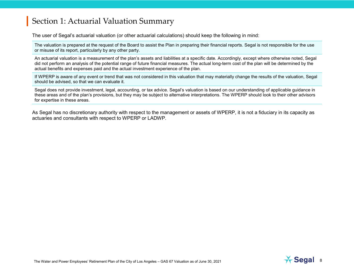The user of Segal's actuarial valuation (or other actuarial calculations) should keep the following in mind:

The valuation is prepared at the request of the Board to assist the Plan in preparing their financial reports. Segal is not responsible for the use or misuse of its report, particularly by any other party.

An actuarial valuation is a measurement of the plan's assets and liabilities at a specific date. Accordingly, except where otherwise noted, Segal did not perform an analysis of the potential range of future financial measures. The actual long-term cost of the plan will be determined by the actual benefits and expenses paid and the actual investment experience of the plan.

If WPERP is aware of any event or trend that was not considered in this valuation that may materially change the results of the valuation, Segal should be advised, so that we can evaluate it.

Segal does not provide investment, legal, accounting, or tax advice. Segal's valuation is based on our understanding of applicable guidance in these areas and of the plan's provisions, but they may be subject to alternative interpretations. The WPERP should look to their other advisors for expertise in these areas.

As Segal has no discretionary authority with respect to the management or assets of WPERP, it is not a fiduciary in its capacity as actuaries and consultants with respect to WPERP or LADWP.

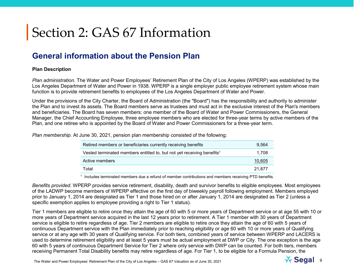#### **General information about the Pension Plan**

#### **Plan Description**

*Plan administration.* The Water and Power Employees' Retirement Plan of the City of Los Angeles (WPERP) was established by the Los Angeles Department of Water and Power in 1938. WPERP is a single employer public employee retirement system whose main function is to provide retirement benefits to employees of the Los Angeles Department of Water and Power.

Under the provisions of the City Charter, the Board of Administration (the "Board") has the responsibility and authority to administer the Plan and to invest its assets. The Board members serve as trustees and must act in the exclusive interest of the Plan's members and beneficiaries. The Board has seven members: one member of the Board of Water and Power Commissioners, the General Manager, the Chief Accounting Employee, three employee members who are elected for three-year terms by active members of the Plan, and one retiree who is appointed by the Board of Water and Power Commissioners for a three-year term.

*Plan membership.* At June 30, 2021, pension plan membership consisted of the following:

| Retired members or beneficiaries currently receiving benefits                      | 9.564  |
|------------------------------------------------------------------------------------|--------|
| Vested terminated members entitled to, but not yet receiving benefits <sup>1</sup> | 1.708  |
| Active members                                                                     | 10,605 |
| Total                                                                              | 21.877 |

<sup>1</sup> Includes terminated members due a refund of member contributions and members receiving PTD benefits.

*Benefits provided.* WPERP provides service retirement, disability, death and survivor benefits to eligible employees. Most employees of the LADWP become members of WPERP effective on the first day of biweekly payroll following employment. Members employed prior to January 1, 2014 are designated as Tier 1 and those hired on or after January 1, 2014 are designated as Tier 2 (unless a specific exemption applies to employee providing a right to Tier 1 status).

Tier 1 members are eligible to retire once they attain the age of 60 with 5 or more years of Department service or at age 55 with 10 or more years of Department service acquired in the last 12 years prior to retirement. A Tier 1 member with 30 years of Department service is eligible to retire regardless of age. Tier 2 members are eligible to retire once they attain the age of 60 with 5 years of continuous Department service with the Plan immediately prior to reaching eligibility or age 60 with 10 or more years of Qualifying service or at any age with 30 years of Qualifying service. For both tiers, combined years of service between WPERP and LACERS is used to determine retirement eligibility and at least 5 years must be actual employment at DWP or City. The one exception is the age 60 with 5 years of continuous Department Service for Tier 2 where only service with DWP can be counted. For both tiers, members receiving Permanent Total Disability benefits may retire regardless of age. For Tier 1, to be eligible for a Formula Pension, the

The Water and Power Employees' Retirement Plan of the City of Los Angeles – GAS 67 Valuation as of June 30, 2021 9

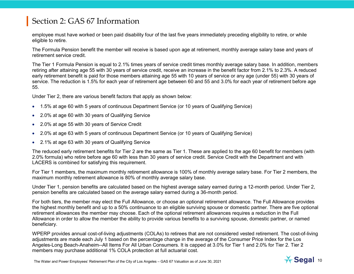employee must have worked or been paid disability four of the last five years immediately preceding eligibility to retire, or while eligible to retire.

The Formula Pension benefit the member will receive is based upon age at retirement, monthly average salary base and years of retirement service credit.

The Tier 1 Formula Pension is equal to 2.1% times years of service credit times monthly average salary base. In addition, members retiring after attaining age 55 with 30 years of service credit, receive an increase in the benefit factor from 2.1% to 2.3%. A reduced early retirement benefit is paid for those members attaining age 55 with 10 years of service or any age (under 55) with 30 years of service. The reduction is 1.5% for each year of retirement age between 60 and 55 and 3.0% for each year of retirement before age 55.

Under Tier 2, there are various benefit factors that apply as shown below:

- 1.5% at age 60 with 5 years of continuous Department Service (or 10 years of Qualifying Service)
- 2.0% at age 60 with 30 years of Qualifying Service
- 2.0% at age 55 with 30 years of Service Credit
- 2.0% at age 63 with 5 years of continuous Department Service (or 10 years of Qualifying Service)
- 2.1% at age 63 with 30 years of Qualifying Service

The reduced early retirement benefits for Tier 2 are the same as Tier 1. These are applied to the age 60 benefit for members (with 2.0% formula) who retire before age 60 with less than 30 years of service credit. Service Credit with the Department and with LACERS is combined for satisfying this requirement.

For Tier 1 members, the maximum monthly retirement allowance is 100% of monthly average salary base. For Tier 2 members, the maximum monthly retirement allowance is 80% of monthly average salary base.

Under Tier 1, pension benefits are calculated based on the highest average salary earned during a 12-month period. Under Tier 2, pension benefits are calculated based on the average salary earned during a 36-month period.

For both tiers, the member may elect the Full Allowance, or choose an optional retirement allowance. The Full Allowance provides the highest monthly benefit and up to a 50% continuance to an eligible surviving spouse or domestic partner. There are five optional retirement allowances the member may choose. Each of the optional retirement allowances requires a reduction in the Full Allowance in order to allow the member the ability to provide various benefits to a surviving spouse, domestic partner, or named beneficiary.

WPERP provides annual cost-of-living adjustments (COLAs) to retirees that are not considered vested retirement. The cost-of-living adjustments are made each July 1 based on the percentage change in the average of the Consumer Price Index for the Los Angeles-Long Beach-Anaheim--All Items For All Urban Consumers. It is capped at 3.0% for Tier 1 and 2.0% for Tier 2. Tier 2 members may purchase additional 1% COLA protection at full actuarial cost.

The Water and Power Employees' Retirement Plan of the City of Los Angeles – GAS 67 Valuation as of June 30, 2021 10

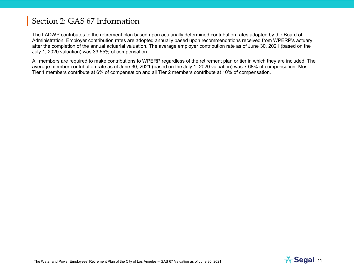The LADWP contributes to the retirement plan based upon actuarially determined contribution rates adopted by the Board of Administration. Employer contribution rates are adopted annually based upon recommendations received from WPERP's actuary after the completion of the annual actuarial valuation. The average employer contribution rate as of June 30, 2021 (based on the July 1, 2020 valuation) was 33.55% of compensation.

All members are required to make contributions to WPERP regardless of the retirement plan or tier in which they are included. The average member contribution rate as of June 30, 2021 (based on the July 1, 2020 valuation) was 7.68% of compensation. Most Tier 1 members contribute at 6% of compensation and all Tier 2 members contribute at 10% of compensation.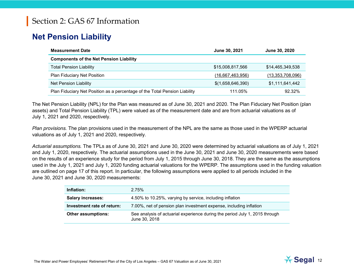### **Net Pension Liability**

| <b>Measurement Date</b>                                                    | June 30, 2021     | June 30, 2020    |
|----------------------------------------------------------------------------|-------------------|------------------|
| <b>Components of the Net Pension Liability</b>                             |                   |                  |
| <b>Total Pension Liability</b>                                             | \$15,008,817,566  | \$14,465,349,538 |
| Plan Fiduciary Net Position                                                | (16,667,463,956)  | (13,353,708,096) |
| <b>Net Pension Liability</b>                                               | \$(1,658,646,390) | \$1,111,641,442  |
| Plan Fiduciary Net Position as a percentage of the Total Pension Liability | 111.05%           | 92.32%           |

The Net Pension Liability (NPL) for the Plan was measured as of June 30, 2021 and 2020. The Plan Fiduciary Net Position (plan assets) and Total Pension Liability (TPL) were valued as of the measurement date and are from actuarial valuations as of July 1, 2021 and 2020, respectively.

*Plan provisions.* The plan provisions used in the measurement of the NPL are the same as those used in the WPERP actuarial valuations as of July 1, 2021 and 2020, respectively.

*Actuarial assumptions.* The TPLs as of June 30, 2021 and June 30, 2020 were determined by actuarial valuations as of July 1, 2021 and July 1, 2020, respectively. The actuarial assumptions used in the June 30, 2021 and June 30, 2020 measurements were based on the results of an experience study for the period from July 1, 2015 through June 30, 2018. They are the same as the assumptions used in the July 1, 2021 and July 1, 2020 funding actuarial valuations for the WPERP. The assumptions used in the funding valuation are outlined on page 17 of this report. In particular, the following assumptions were applied to all periods included in the June 30, 2021 and June 30, 2020 measurements:

| Inflation:                 | 2.75%                                                                                        |
|----------------------------|----------------------------------------------------------------------------------------------|
| <b>Salary increases:</b>   | 4.50% to 10.25%, varying by service, including inflation                                     |
| Investment rate of return: | 7.00%, net of pension plan investment expense, including inflation                           |
| <b>Other assumptions:</b>  | See analysis of actuarial experience during the period July 1, 2015 through<br>June 30, 2018 |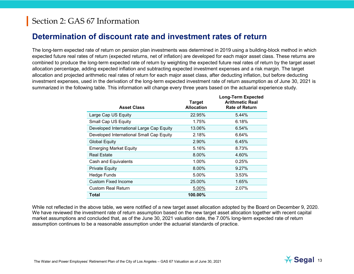#### **Determination of discount rate and investment rates of return**

The long-term expected rate of return on pension plan investments was determined in 2019 using a building-block method in which expected future real rates of return (expected returns, net of inflation) are developed for each major asset class. These returns are combined to produce the long-term expected rate of return by weighting the expected future real rates of return by the target asset allocation percentage, adding expected inflation and subtracting expected investment expenses and a risk margin. The target allocation and projected arithmetic real rates of return for each major asset class, after deducting inflation, but before deducting investment expenses, used in the derivation of the long-term expected investment rate of return assumption as of June 30, 2021 is summarized in the following table. This information will change every three years based on the actuarial experience study.

| <b>Asset Class</b>                       | <b>Target</b><br><b>Allocation</b> | <b>Long-Term Expected</b><br><b>Arithmetic Real</b><br><b>Rate of Return</b> |
|------------------------------------------|------------------------------------|------------------------------------------------------------------------------|
| Large Cap US Equity                      | 22.95%                             | 5.44%                                                                        |
| Small Cap US Equity                      | 1.75%                              | 6.18%                                                                        |
| Developed International Large Cap Equity | 13.06%                             | 6.54%                                                                        |
| Developed International Small Cap Equity | 2.18%                              | 6.64%                                                                        |
| <b>Global Equity</b>                     | 2.90%                              | 6.45%                                                                        |
| <b>Emerging Market Equity</b>            | 5.16%                              | 8.73%                                                                        |
| <b>Real Estate</b>                       | 8.00%                              | 4.60%                                                                        |
| Cash and Equivalents                     | 1.00%                              | 0.25%                                                                        |
| <b>Private Equity</b>                    | 8.00%                              | 9.27%                                                                        |
| <b>Hedge Funds</b>                       | 5.00%                              | 3.53%                                                                        |
| <b>Custom Fixed Income</b>               | 25.00%                             | 1.65%                                                                        |
| <b>Custom Real Return</b>                | 5.00%                              | 2.07%                                                                        |
| Total                                    | $100.00\%$                         |                                                                              |

While not reflected in the above table, we were notified of a new target asset allocation adopted by the Board on December 9, 2020. We have reviewed the investment rate of return assumption based on the new target asset allocation together with recent capital market assumptions and concluded that, as of the June 30, 2021 valuation date, the 7.00% long-term expected rate of return assumption continues to be a reasonable assumption under the actuarial standards of practice.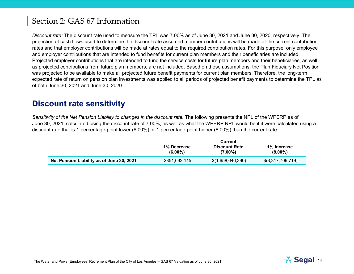*Discount rate:* The discount rate used to measure the TPL was 7.00% as of June 30, 2021 and June 30, 2020, respectively. The projection of cash flows used to determine the discount rate assumed member contributions will be made at the current contribution rates and that employer contributions will be made at rates equal to the required contribution rates. For this purpose, only employee and employer contributions that are intended to fund benefits for current plan members and their beneficiaries are included. Projected employer contributions that are intended to fund the service costs for future plan members and their beneficiaries, as well as projected contributions from future plan members, are not included. Based on those assumptions, the Plan Fiduciary Net Position was projected to be available to make all projected future benefit payments for current plan members. Therefore, the long-term expected rate of return on pension plan investments was applied to all periods of projected benefit payments to determine the TPL as of both June 30, 2021 and June 30, 2020.

#### **Discount rate sensitivity**

*Sensitivity of the Net Pension Liability to changes in the discount rate.* The following presents the NPL of the WPERP as of June 30, 2021, calculated using the discount rate of 7.00%, as well as what the WPERP NPL would be if it were calculated using a discount rate that is 1-percentage-point lower (6.00%) or 1-percentage-point higher (8.00%) than the current rate:

|                                           | Current                          |                                    |                           |
|-------------------------------------------|----------------------------------|------------------------------------|---------------------------|
|                                           | <b>1% Decrease</b><br>$(6.00\%)$ | <b>Discount Rate</b><br>$(7.00\%)$ | 1% Increase<br>$(8.00\%)$ |
| Net Pension Liability as of June 30, 2021 | \$351,692,115                    | \$(1,658,646,390)                  | \$(3,317,709,719)         |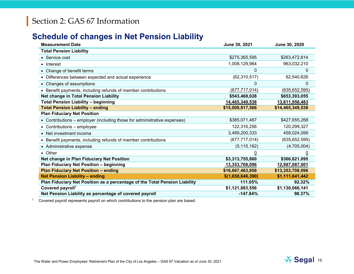#### **Schedule of changes in Net Pension Liability**

| <b>Measurement Date</b>                                                    | June 30, 2021     | June 30, 2020    |
|----------------------------------------------------------------------------|-------------------|------------------|
| <b>Total Pension Liability</b>                                             |                   |                  |
| • Service cost                                                             | \$275,365,595     | \$263,472,814    |
| • Interest                                                                 | 1,008,129,964     | 963,032,210      |
| • Change of benefit terms                                                  | 0                 | 0                |
| • Differences between expected and actual experience                       | (62, 310, 517)    | 62,540,626       |
| • Changes of assumptions                                                   | 0                 | 0                |
| • Benefit payments, including refunds of member contributions              | (677, 717, 014)   | (635, 652, 595)  |
| Net change in Total Pension Liability                                      | \$543,468,028     | \$653,393,055    |
| <b>Total Pension Liability - beginning</b>                                 | 14,465,349,538    | 13,811,956,483   |
| <b>Total Pension Liability - ending</b>                                    | \$15,008,817,566  | \$14,465,349,538 |
| <b>Plan Fiduciary Net Position</b>                                         |                   |                  |
| • Contributions – employer (including those for administrative expenses)   | \$385,071,467     | \$427,655,268    |
| • Contributions - employee                                                 | 122,316,256       | 120,299,327      |
| • Net investment income                                                    | 3,489,200,333     | 459,024,099      |
| • Benefit payments, including refunds of member contributions              | (677, 717, 014)   | (635, 652, 595)  |
| • Administrative expense                                                   | (5, 115, 182)     | (4,705,004)      |
| • Other                                                                    | $\overline{0}$    | $\overline{0}$   |
| Net change in Plan Fiduciary Net Position                                  | \$3,313,755,860   | \$366,621,095    |
| Plan Fiduciary Net Position - beginning                                    | 13,353,708,096    | 12,987,087,001   |
| <b>Plan Fiduciary Net Position - ending</b>                                | \$16,667,463,956  | \$13,353,708,096 |
| <b>Net Pension Liability - ending</b>                                      | \$(1,658,646,390) | \$1,111,641,442  |
| Plan Fiduciary Net Position as a percentage of the Total Pension Liability | 111.05%           | 92.32%           |
| Covered payroll <sup>1</sup>                                               | \$1,121,883,556   | \$1,130,066,141  |
| Net Pension Liability as percentage of covered payroll                     | $-147.84%$        | 98.37%           |

<sup>1</sup> Covered payroll represents payroll on which contributions to the pension plan are based.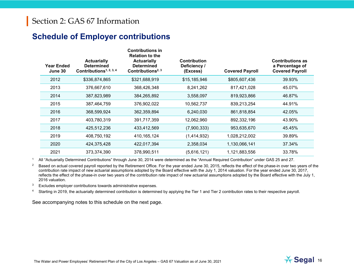#### **Schedule of Employer contributions**

| <b>Year Ended</b><br>June 30 | <b>Actuarially</b><br><b>Determined</b><br>Contributions <sup>1, 2, 3, 4</sup> | <b>Contributions in</b><br><b>Relation to the</b><br><b>Actuarially</b><br><b>Determined</b><br>Contributions <sup>2, 3</sup> | <b>Contribution</b><br>Deficiency /<br>(Excess) | <b>Covered Payroll</b> | <b>Contributions as</b><br>a Percentage of<br><b>Covered Payroll</b> |
|------------------------------|--------------------------------------------------------------------------------|-------------------------------------------------------------------------------------------------------------------------------|-------------------------------------------------|------------------------|----------------------------------------------------------------------|
| 2012                         | \$336,874,865                                                                  | \$321,688,919                                                                                                                 | \$15,185,946                                    | \$805,607,436          | 39.93%                                                               |
| 2013                         | 376,667,610                                                                    | 368,426,348                                                                                                                   | 8,241,262                                       | 817,421,028            | 45.07%                                                               |
| 2014                         | 387,823,989                                                                    | 384,265,892                                                                                                                   | 3,558,097                                       | 819,923,866            | 46.87%                                                               |
| 2015                         | 387,464,759                                                                    | 376,902,022                                                                                                                   | 10,562,737                                      | 839,213,254            | 44.91%                                                               |
| 2016                         | 368,599,924                                                                    | 362,359,894                                                                                                                   | 6,240,030                                       | 861,818,854            | 42.05%                                                               |
| 2017                         | 403,780,319                                                                    | 391,717,359                                                                                                                   | 12,062,960                                      | 892,332,196            | 43.90%                                                               |
| 2018                         | 425,512,236                                                                    | 433,412,569                                                                                                                   | (7,900,333)                                     | 953,635,670            | 45.45%                                                               |
| 2019                         | 408,750,192                                                                    | 410, 165, 124                                                                                                                 | (1,414,932)                                     | 1,028,212,002          | 39.89%                                                               |
| 2020                         | 424,375,428                                                                    | 422,017,394                                                                                                                   | 2,358,034                                       | 1,130,066,141          | 37.34%                                                               |
| 2021                         | 373,374,390                                                                    | 378,990,511                                                                                                                   | (5,616,121)                                     | 1,121,883,556          | 33.78%                                                               |

<sup>1</sup> All "Actuarially Determined Contributions" through June 30, 2014 were determined as the "Annual Required Contribution" under GAS 25 and 27.

**Contributions in** 

<sup>2</sup> Based on actual covered payroll reported by the Retirement Office. For the year ended June 30, 2015, reflects the effect of the phase-in over two years of the contribution rate impact of new actuarial assumptions adopted by the Board effective with the July 1, 2014 valuation. For the year ended June 30, 2017, reflects the effect of the phase-in over two years of the contribution rate impact of new actuarial assumptions adopted by the Board effective with the July 1, 2016 valuation.

 $3$  Excludes employer contributions towards administrative expenses.

<sup>4</sup> Starting in 2019, the actuarially determined contribution is determined by applying the Tier 1 and Tier 2 contribution rates to their respective payroll.

See accompanying notes to this schedule on the next page.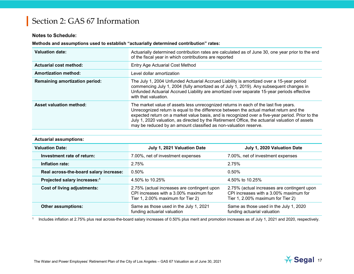#### **Notes to Schedule:**

#### **Methods and assumptions used to establish "actuarially determined contribution" rates:**

| <b>Valuation date:</b>                | Actuarially determined contribution rates are calculated as of June 30, one year prior to the end<br>of the fiscal year in which contributions are reported                                                                                                                                                                                                                                                                                                |
|---------------------------------------|------------------------------------------------------------------------------------------------------------------------------------------------------------------------------------------------------------------------------------------------------------------------------------------------------------------------------------------------------------------------------------------------------------------------------------------------------------|
| <b>Actuarial cost method:</b>         | <b>Entry Age Actuarial Cost Method</b>                                                                                                                                                                                                                                                                                                                                                                                                                     |
| <b>Amortization method:</b>           | Level dollar amortization                                                                                                                                                                                                                                                                                                                                                                                                                                  |
| <b>Remaining amortization period:</b> | The July 1, 2004 Unfunded Actuarial Accrued Liability is amortized over a 15-year period<br>commencing July 1, 2004 (fully amortized as of July 1, 2019). Any subsequent changes in<br>Unfunded Actuarial Accrued Liability are amortized over separate 15-year periods effective<br>with that valuation.                                                                                                                                                  |
| <b>Asset valuation method:</b>        | The market value of assets less unrecognized returns in each of the last five years.<br>Unrecognized return is equal to the difference between the actual market return and the<br>expected return on a market value basis, and is recognized over a five-year period. Prior to the<br>July 1, 2020 valuation, as directed by the Retirement Office, the actuarial valuation of assets<br>may be reduced by an amount classified as non-valuation reserve. |

#### **Actuarial assumptions:**

| <b>Valuation Date:</b>                   | July 1, 2021 Valuation Date                                                                                                | July 1, 2020 Valuation Date                                                                                                |
|------------------------------------------|----------------------------------------------------------------------------------------------------------------------------|----------------------------------------------------------------------------------------------------------------------------|
| Investment rate of return:               | 7.00%, net of investment expenses                                                                                          | 7.00%, net of investment expenses                                                                                          |
| Inflation rate:                          | 2.75%                                                                                                                      | 2.75%                                                                                                                      |
| Real across-the-board salary increase:   | $0.50\%$                                                                                                                   | $0.50\%$                                                                                                                   |
| Projected salary increases: <sup>1</sup> | 4.50% to 10.25%                                                                                                            | 4.50% to 10.25%                                                                                                            |
| Cost of living adjustments:              | 2.75% (actual increases are contingent upon<br>CPI increases with a 3.00% maximum for<br>Tier 1, 2.00% maximum for Tier 2) | 2.75% (actual increases are contingent upon<br>CPI increases with a 3.00% maximum for<br>Tier 1, 2.00% maximum for Tier 2) |
| <b>Other assumptions:</b>                | Same as those used in the July 1, 2021<br>funding actuarial valuation                                                      | Same as those used in the July 1, 2020<br>funding actuarial valuation                                                      |

<sup>1</sup> Includes inflation at 2.75% plus real across-the-board salary increases of 0.50% plus merit and promotion increases as of July 1, 2021 and 2020, respectively.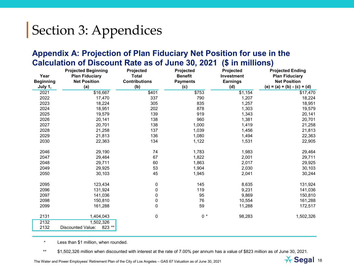#### **Appendix A: Projection of Plan Fiduciary Net Position for use in the Calculation of Discount Rate as of June 30, 2021 (\$ in millions)**

| Year             | <b>Projected Beginning</b><br><b>Plan Fiduciary</b> | Projected<br><b>Total</b> | Projected<br><b>Benefit</b> | Projected<br>Investment | <b>Projected Ending</b><br><b>Plan Fiduciary</b> |
|------------------|-----------------------------------------------------|---------------------------|-----------------------------|-------------------------|--------------------------------------------------|
| <b>Beginning</b> | <b>Net Position</b>                                 | <b>Contributions</b>      | <b>Payments</b>             | <b>Earnings</b>         | <b>Net Position</b>                              |
| July 1,          | (a)                                                 | (b)                       | (c)                         | (d)                     | (e) = (a) + (b) - (c) + (d)                      |
| 2021             | \$16,667                                            | \$401                     | \$753                       | \$1,154                 | \$17,470                                         |
| 2022             | 17,470                                              | 337                       | 790                         | 1,207                   | 18,224                                           |
| 2023             | 18,224                                              | 305                       | 835                         | 1,257                   | 18,951                                           |
| 2024             | 18,951                                              | 202                       | 878                         | 1,303                   | 19,579                                           |
| 2025             | 19,579                                              | 139                       | 919                         | 1,343                   | 20,141                                           |
| 2026             | 20,141                                              | 138                       | 960                         | 1,381                   | 20,701                                           |
| 2027             | 20,701                                              | 138                       | 1,000                       | 1,419                   | 21,258                                           |
| 2028             | 21,258                                              | 137                       | 1,039                       | 1,456                   | 21,813                                           |
| 2029             | 21,813                                              | 136                       | 1,080                       | 1,494                   | 22,363                                           |
| 2030             | 22,363                                              | 134                       | 1,122                       | 1,531                   | 22,905                                           |
| 2046             | 29,190                                              | 74                        | 1,783                       | 1,983                   | 29,464                                           |
| 2047             | 29,464                                              | 67                        | 1,822                       | 2,001                   | 29,711                                           |
| 2048             | 29,711                                              | 60                        | 1,863                       | 2,017                   | 29,925                                           |
| 2049             | 29,925                                              | 53                        | 1,904                       | 2,030                   | 30,103                                           |
| 2050             | 30,103                                              | 45                        | 1,945                       | 2,041                   | 30,244                                           |
| 2095             | 123,434                                             | 0                         | 145                         | 8,635                   | 131,924                                          |
| 2096             | 131,924                                             | 0                         | 119                         | 9,231                   | 141,036                                          |
| 2097             | 141,036                                             | 0                         | 95                          | 9,869                   | 150,810                                          |
| 2098             | 150,810                                             | 0                         | 76                          | 10,554                  | 161,288                                          |
| 2099             | 161,288                                             | 0                         | 59                          | 11,288                  | 172,517                                          |
| 2131             | 1,404,043                                           | 0                         | $0 *$                       | 98,283                  | 1,502,326                                        |
| 2132             | 1,502,326                                           |                           |                             |                         |                                                  |
| 2132             | 823 **<br><b>Discounted Value:</b>                  |                           |                             |                         |                                                  |

\* Less than \$1 million, when rounded.

\*\* \$1,502,326 million when discounted with interest at the rate of 7.00% per annum has a value of \$823 million as of June 30, 2021.

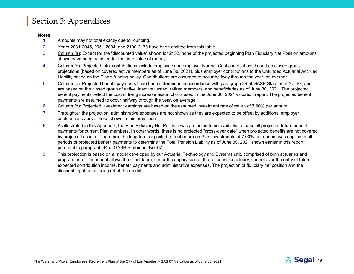#### **Notes:**

- 1. Amounts may not total exactly due to rounding.
- 2. Years 2031-2045, 2051-2094, and 2100-2130 have been omitted from this table.
- 3. Column (a): Except for the "discounted value" shown for 2132, none of the projected beginning Plan Fiduciary Net Position amounts shown have been adjusted for the time value of money.
- 4. Column (b): Projected total contributions include employee and employer Normal Cost contributions based on closed group projections (based on covered active members as of June 30, 2021), plus employer contributions to the Unfunded Actuarial Accrued Liability based on the Plan's funding policy. Contributions are assumed to occur halfway through the year, on average.
- 5. Column (c): Projected benefit payments have been determined in accordance with paragraph 39 of GASB Statement No. 67, and are based on the closed group of active, inactive vested, retired members, and beneficiaries as of June 30, 2021. The projected benefit payments reflect the cost of living increase assumptions used in the June 30, 2021 valuation report. The projected benefit payments are assumed to occur halfway through the year, on average.
- 6. Column (d): Projected investment earnings are based on the assumed investment rate of return of 7.00% per annum.
- 7. Throughout the projection, administrative expenses are not shown as they are expected to be offset by additional employer contributions above those shown in this projection.
- 8. As illustrated in this Appendix, the Plan Fiduciary Net Position was projected to be available to make all projected future benefit payments for current Plan members. In other words, there is no projected "cross-over date" when projected benefits are not covered by projected assets. Therefore, the long-term expected rate of return on Plan investments of 7.00% per annum was applied to all periods of projected benefit payments to determine the Total Pension Liability as of June 30, 2021 shown earlier in this report, pursuant to paragraph 44 of GASB Statement No. 67.
- 9. This projection is based on a model developed by our Actuarial Technology and Systems unit, comprised of both actuaries and programmers. The model allows the client team, under the supervision of the responsible actuary, control over the entry of future expected contribution income, benefit payments and administrative expenses. The projection of fiduciary net position and the discounting of benefits is part of the model.

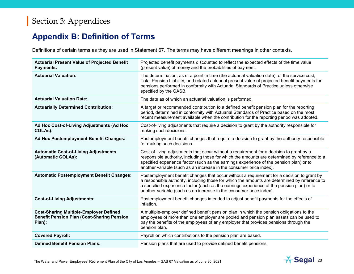#### **Appendix B: Definition of Terms**

Definitions of certain terms as they are used in Statement 67. The terms may have different meanings in other contexts.

| <b>Actuarial Present Value of Projected Benefit</b><br>Payments:                                             | Projected benefit payments discounted to reflect the expected effects of the time value<br>(present value) of money and the probabilities of payment.                                                                                                                                                                                                           |
|--------------------------------------------------------------------------------------------------------------|-----------------------------------------------------------------------------------------------------------------------------------------------------------------------------------------------------------------------------------------------------------------------------------------------------------------------------------------------------------------|
| <b>Actuarial Valuation:</b>                                                                                  | The determination, as of a point in time (the actuarial valuation date), of the service cost,<br>Total Pension Liability, and related actuarial present value of projected benefit payments for<br>pensions performed in conformity with Actuarial Standards of Practice unless otherwise<br>specified by the GASB.                                             |
| <b>Actuarial Valuation Date:</b>                                                                             | The date as of which an actuarial valuation is performed.                                                                                                                                                                                                                                                                                                       |
| <b>Actuarially Determined Contribution:</b>                                                                  | A target or recommended contribution to a defined benefit pension plan for the reporting<br>period, determined in conformity with Actuarial Standards of Practice based on the most<br>recent measurement available when the contribution for the reporting period was adopted.                                                                                 |
| Ad Hoc Cost-of-Living Adjustments (Ad Hoc<br>COLAs):                                                         | Cost-of-living adjustments that require a decision to grant by the authority responsible for<br>making such decisions.                                                                                                                                                                                                                                          |
| Ad Hoc Postemployment Benefit Changes:                                                                       | Postemployment benefit changes that require a decision to grant by the authority responsible<br>for making such decisions.                                                                                                                                                                                                                                      |
| <b>Automatic Cost-of-Living Adjustments</b><br>(Automatic COLAs):                                            | Cost-of-living adjustments that occur without a requirement for a decision to grant by a<br>responsible authority, including those for which the amounts are determined by reference to a<br>specified experience factor (such as the earnings experience of the pension plan) or to<br>another variable (such as an increase in the consumer price index).     |
| <b>Automatic Postemployment Benefit Changes:</b>                                                             | Postemployment benefit changes that occur without a requirement for a decision to grant by<br>a responsible authority, including those for which the amounts are determined by reference to<br>a specified experience factor (such as the earnings experience of the pension plan) or to<br>another variable (such as an increase in the consumer price index). |
| <b>Cost-of-Living Adjustments:</b>                                                                           | Postemployment benefit changes intended to adjust benefit payments for the effects of<br>inflation.                                                                                                                                                                                                                                                             |
| <b>Cost-Sharing Multiple-Employer Defined</b><br><b>Benefit Pension Plan (Cost-Sharing Pension</b><br>Plan): | A multiple-employer defined benefit pension plan in which the pension obligations to the<br>employees of more than one employer are pooled and pension plan assets can be used to<br>pay the benefits of the employees of any employer that provides pensions through the<br>pension plan.                                                                      |
| <b>Covered Payroll:</b>                                                                                      | Payroll on which contributions to the pension plan are based.                                                                                                                                                                                                                                                                                                   |
| <b>Defined Benefit Pension Plans:</b>                                                                        | Pension plans that are used to provide defined benefit pensions.                                                                                                                                                                                                                                                                                                |

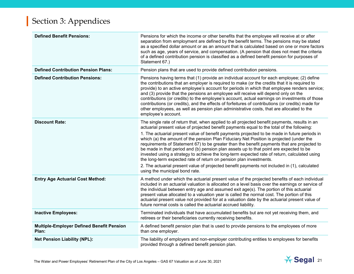| <b>Defined Benefit Pensions:</b>                          | Pensions for which the income or other benefits that the employee will receive at or after<br>separation from employment are defined by the benefit terms. The pensions may be stated<br>as a specified dollar amount or as an amount that is calculated based on one or more factors<br>such as age, years of service, and compensation. (A pension that does not meet the criteria<br>of a defined contribution pension is classified as a defined benefit pension for purposes of<br>Statement 67.)                                                                                                                                                                                                                                                                                                                                                                                  |
|-----------------------------------------------------------|-----------------------------------------------------------------------------------------------------------------------------------------------------------------------------------------------------------------------------------------------------------------------------------------------------------------------------------------------------------------------------------------------------------------------------------------------------------------------------------------------------------------------------------------------------------------------------------------------------------------------------------------------------------------------------------------------------------------------------------------------------------------------------------------------------------------------------------------------------------------------------------------|
| <b>Defined Contribution Pension Plans:</b>                | Pension plans that are used to provide defined contribution pensions.                                                                                                                                                                                                                                                                                                                                                                                                                                                                                                                                                                                                                                                                                                                                                                                                                   |
| <b>Defined Contribution Pensions:</b>                     | Pensions having terms that (1) provide an individual account for each employee; (2) define<br>the contributions that an employer is required to make (or the credits that it is required to<br>provide) to an active employee's account for periods in which that employee renders service;<br>and (3) provide that the pensions an employee will receive will depend only on the<br>contributions (or credits) to the employee's account, actual earnings on investments of those<br>contributions (or credits), and the effects of forfeitures of contributions (or credits) made for<br>other employees, as well as pension plan administrative costs, that are allocated to the<br>employee's account.                                                                                                                                                                              |
| <b>Discount Rate:</b>                                     | The single rate of return that, when applied to all projected benefit payments, results in an<br>actuarial present value of projected benefit payments equal to the total of the following:<br>1. The actuarial present value of benefit payments projected to be made in future periods in<br>which (a) the amount of the pension Plan Fiduciary Net Position is projected (under the<br>requirements of Statement 67) to be greater than the benefit payments that are projected to<br>be made in that period and (b) pension plan assets up to that point are expected to be<br>invested using a strategy to achieve the long-term expected rate of return, calculated using<br>the long-term expected rate of return on pension plan investments.<br>2. The actuarial present value of projected benefit payments not included in (1), calculated<br>using the municipal bond rate. |
| <b>Entry Age Actuarial Cost Method:</b>                   | A method under which the actuarial present value of the projected benefits of each individual<br>included in an actuarial valuation is allocated on a level basis over the earnings or service of<br>the individual between entry age and assumed exit age(s). The portion of this actuarial<br>present value allocated to a valuation year is called the normal cost. The portion of this<br>actuarial present value not provided for at a valuation date by the actuarial present value of<br>future normal costs is called the actuarial accrued liability.                                                                                                                                                                                                                                                                                                                          |
| <b>Inactive Employees:</b>                                | Terminated individuals that have accumulated benefits but are not yet receiving them, and<br>retirees or their beneficiaries currently receiving benefits.                                                                                                                                                                                                                                                                                                                                                                                                                                                                                                                                                                                                                                                                                                                              |
| <b>Multiple-Employer Defined Benefit Pension</b><br>Plan: | A defined benefit pension plan that is used to provide pensions to the employees of more<br>than one employer.                                                                                                                                                                                                                                                                                                                                                                                                                                                                                                                                                                                                                                                                                                                                                                          |
| <b>Net Pension Liability (NPL):</b>                       | The liability of employers and non-employer contributing entities to employees for benefits<br>provided through a defined benefit pension plan.                                                                                                                                                                                                                                                                                                                                                                                                                                                                                                                                                                                                                                                                                                                                         |